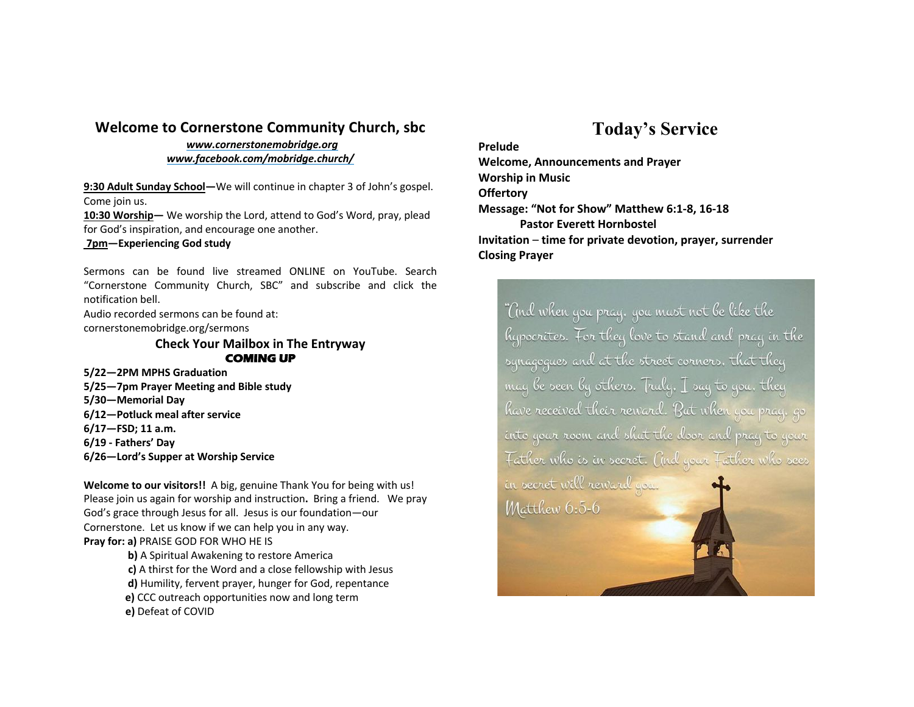## **Welcome to Cornerstone Community Church, sbc**

*www.cornerstonemobridge.org www.facebook.com/mobridge.church/*

**9:30 Adult Sunday School—**We will continue in chapter 3 of John's gospel. Come join us.

**10:30 Worship—** We worship the Lord, attend to God's Word, pray, plead for God's inspiration, and encourage one another.

**7pm—Experiencing God study**

Sermons can be found live streamed ONLINE on YouTube. Search "Cornerstone Community Church, SBC" and subscribe and click the notification bell.

Audio recorded sermons can be found at: cornerstonemobridge.org/sermons

> **Check Your Mailbox in The Entryway COMING UP**

**5/22—2PM MPHS Graduation**

**5/25—7pm Prayer Meeting and Bible study**

**5/30—Memorial Day**

- **6/12—Potluck meal after service**
- **6/17—FSD; 11 a.m.**
- **6/19 - Fathers' Day**
- **6/26—Lord's Supper at Worship Service**

**Welcome to our visitors!!** A big, genuine Thank You for being with us! Please join us again for worship and instruction**.** Bring a friend. We pray God's grace through Jesus for all. Jesus is our foundation—our Cornerstone. Let us know if we can help you in any way. **Pray for: a)** PRAISE GOD FOR WHO HE IS

> **b)** A Spiritual Awakening to restore America **c)** A thirst for the Word and a close fellowship with Jesus **d)** Humility, fervent prayer, hunger for God, repentance **e)** CCC outreach opportunities now and long term **e)** Defeat of COVID

## **Today's Service**

**Prelude Welcome, Announcements and Prayer Worship in Music Offertory Message: "Not for Show" Matthew 6:1-8, 16-18 Pastor Everett Hornbostel Invitation** – **time for private devotion, prayer, surrender Closing Prayer**

"And when you pray, you must not be like the hypocrites. For they love to stand and pray in the synagogues and at the street corners. that they may be seen by others. Truly,  $\mathcal I$  say to you, they have received their reward. But when you pray, go into your room and shut the door and pray to your Father who is in secret. Cind your Father who sees in secret will reward you. Matthew 6:5-6